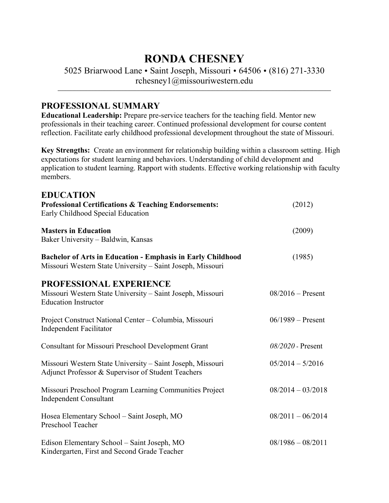# **RONDA CHESNEY**

5025 Briarwood Lane • Saint Joseph, Missouri • 64506 • (816) 271-3330 rchesney1@missouriwestern.edu

\_\_\_\_\_\_\_\_\_\_\_\_\_\_\_\_\_\_\_\_\_\_\_\_\_\_\_\_\_\_\_\_\_\_\_\_\_\_\_\_\_\_\_\_\_\_\_\_\_\_\_\_\_\_\_\_\_\_\_\_\_\_\_\_\_\_\_\_\_\_\_\_\_\_\_\_\_\_\_\_\_\_\_\_\_\_\_\_\_\_\_\_\_\_\_\_\_\_\_\_\_\_\_\_\_\_\_\_\_\_\_\_\_\_\_\_\_\_\_\_\_\_\_\_\_\_\_\_\_\_\_\_\_\_\_\_\_\_\_\_\_\_\_\_\_

## **PROFESSIONAL SUMMARY**

**Educational Leadership:** Prepare pre-service teachers for the teaching field. Mentor new professionals in their teaching career. Continued professional development for course content reflection. Facilitate early childhood professional development throughout the state of Missouri.

**Key Strengths:** Create an environment for relationship building within a classroom setting. High expectations for student learning and behaviors. Understanding of child development and application to student learning. Rapport with students. Effective working relationship with faculty members.

| <b>EDUCATION</b><br><b>Professional Certifications &amp; Teaching Endorsements:</b><br>Early Childhood Special Education         | (2012)              |
|----------------------------------------------------------------------------------------------------------------------------------|---------------------|
| <b>Masters in Education</b><br>Baker University - Baldwin, Kansas                                                                | (2009)              |
| <b>Bachelor of Arts in Education - Emphasis in Early Childhood</b><br>Missouri Western State University - Saint Joseph, Missouri | (1985)              |
| PROFESSIONAL EXPERIENCE<br>Missouri Western State University - Saint Joseph, Missouri<br><b>Education Instructor</b>             | $08/2016$ – Present |
| Project Construct National Center - Columbia, Missouri<br><b>Independent Facilitator</b>                                         | $06/1989 -$ Present |
| <b>Consultant for Missouri Preschool Development Grant</b>                                                                       | $08/2020$ - Present |
| Missouri Western State University – Saint Joseph, Missouri<br>Adjunct Professor & Supervisor of Student Teachers                 | $05/2014 - 5/2016$  |
| Missouri Preschool Program Learning Communities Project<br><b>Independent Consultant</b>                                         | $08/2014 - 03/2018$ |
| Hosea Elementary School – Saint Joseph, MO<br>Preschool Teacher                                                                  | $08/2011 - 06/2014$ |
| Edison Elementary School – Saint Joseph, MO<br>Kindergarten, First and Second Grade Teacher                                      | $08/1986 - 08/2011$ |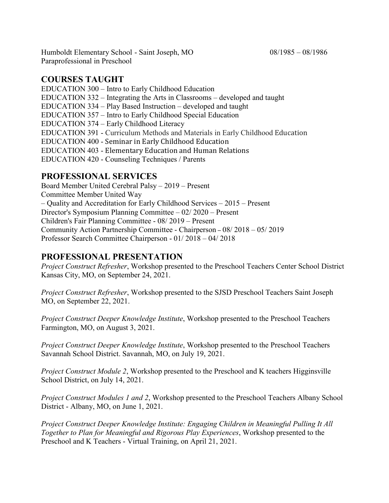Humboldt Elementary School - Saint Joseph, MO 08/1985 – 08/1986 Paraprofessional in Preschool

#### **COURSES TAUGHT**

EDUCATION 300 – Intro to Early Childhood Education EDUCATION 332 – Integrating the Arts in Classrooms – developed and taught EDUCATION 334 – Play Based Instruction – developed and taught EDUCATION 357 – Intro to Early Childhood Special Education EDUCATION 374 – Early Childhood Literacy EDUCATION 391 - Curriculum Methods and Materials in Early Childhood Education EDUCATION 400 - Seminar in Early Childhood Education EDUCATION 403 - Elementary Education and Human Relations EDUCATION 420 - Counseling Techniques / Parents

# **PROFESSIONAL SERVICES**

Board Member United Cerebral Palsy – 2019 – Present Committee Member United Way – Quality and Accreditation for Early Childhood Services – 2015 – Present Director's Symposium Planning Committee – 02/ 2020 – Present Children's Fair Planning Committee - 08/ 2019 – Present Community Action Partnership Committee - Chairperson – 08/ 2018 – 05/ 2019 Professor Search Committee Chairperson - 01/ 2018 – 04/ 2018

## **PROFESSIONAL PRESENTATION**

*Project Construct Refresher*, Workshop presented to the Preschool Teachers Center School District Kansas City, MO, on September 24, 2021.

*Project Construct Refresher*, Workshop presented to the SJSD Preschool Teachers Saint Joseph MO, on September 22, 2021.

*Project Construct Deeper Knowledge Institute*, Workshop presented to the Preschool Teachers Farmington, MO, on August 3, 2021.

*Project Construct Deeper Knowledge Institute*, Workshop presented to the Preschool Teachers Savannah School District. Savannah, MO, on July 19, 2021.

*Project Construct Module 2*, Workshop presented to the Preschool and K teachers Higginsville School District, on July 14, 2021.

*Project Construct Modules 1 and 2*, Workshop presented to the Preschool Teachers Albany School District - Albany, MO, on June 1, 2021.

*Project Construct Deeper Knowledge Institute: Engaging Children in Meaningful Pulling It All Together to Plan for Meaningful and Rigorous Play Experiences*, Workshop presented to the Preschool and K Teachers - Virtual Training, on April 21, 2021.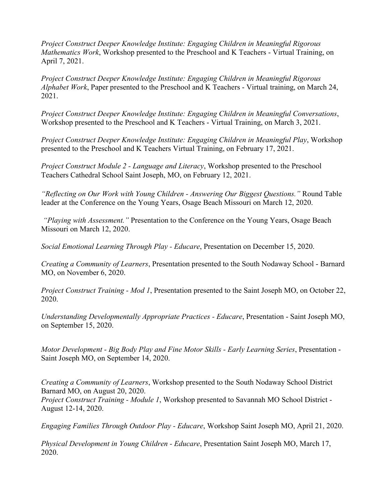*Project Construct Deeper Knowledge Institute: Engaging Children in Meaningful Rigorous Mathematics Work*, Workshop presented to the Preschool and K Teachers - Virtual Training, on April 7, 2021.

*Project Construct Deeper Knowledge Institute: Engaging Children in Meaningful Rigorous Alphabet Work*, Paper presented to the Preschool and K Teachers - Virtual training, on March 24, 2021.

*Project Construct Deeper Knowledge Institute: Engaging Children in Meaningful Conversations*, Workshop presented to the Preschool and K Teachers - Virtual Training, on March 3, 2021.

*Project Construct Deeper Knowledge Institute: Engaging Children in Meaningful Play*, Workshop presented to the Preschool and K Teachers Virtual Training, on February 17, 2021.

*Project Construct Module 2 - Language and Literacy*, Workshop presented to the Preschool Teachers Cathedral School Saint Joseph, MO, on February 12, 2021.

*"Reflecting on Our Work with Young Children - Answering Our Biggest Questions."* Round Table leader at the Conference on the Young Years, Osage Beach Missouri on March 12, 2020.

*"Playing with Assessment."* Presentation to the Conference on the Young Years, Osage Beach Missouri on March 12, 2020.

*Social Emotional Learning Through Play - Educare*, Presentation on December 15, 2020.

*Creating a Community of Learners*, Presentation presented to the South Nodaway School - Barnard MO, on November 6, 2020.

*Project Construct Training - Mod 1*, Presentation presented to the Saint Joseph MO, on October 22, 2020.

*Understanding Developmentally Appropriate Practices - Educare*, Presentation - Saint Joseph MO, on September 15, 2020.

*Motor Development - Big Body Play and Fine Motor Skills - Early Learning Series*, Presentation - Saint Joseph MO, on September 14, 2020.

*Creating a Community of Learners*, Workshop presented to the South Nodaway School District Barnard MO, on August 20, 2020.

*Project Construct Training - Module 1*, Workshop presented to Savannah MO School District - August 12-14, 2020.

*Engaging Families Through Outdoor Play - Educare*, Workshop Saint Joseph MO, April 21, 2020.

*Physical Development in Young Children - Educare*, Presentation Saint Joseph MO, March 17, 2020.